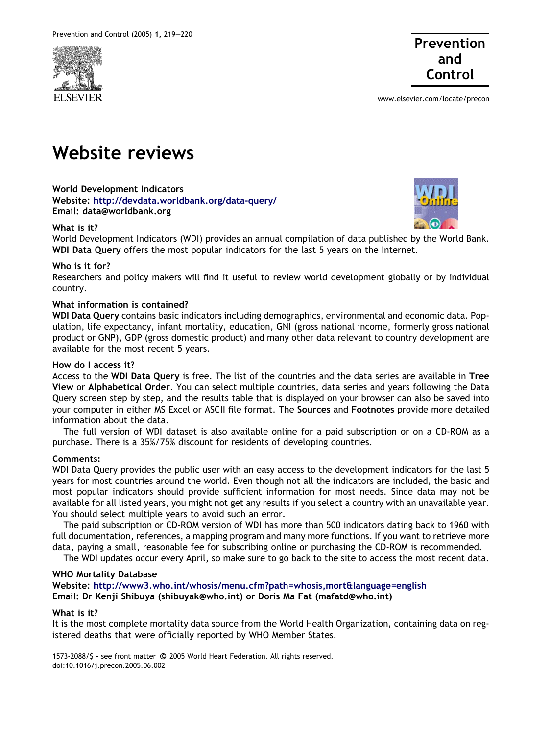



www.elsevier.com/locate/precon

# Website reviews

World Development Indicators Website: <http://devdata.worldbank.org/data-query/> Email: data@worldbank.org

## What is it?

World Development Indicators (WDI) provides an annual compilation of data published by the World Bank. WDI Data Query offers the most popular indicators for the last 5 years on the Internet.

## Who is it for?

Researchers and policy makers will find it useful to review world development globally or by individual country.

## What information is contained?

WDI Data Query contains basic indicators including demographics, environmental and economic data. Population, life expectancy, infant mortality, education, GNI (gross national income, formerly gross national product or GNP), GDP (gross domestic product) and many other data relevant to country development are available for the most recent 5 years.

## How do I access it?

Access to the WDI Data Query is free. The list of the countries and the data series are available in Tree View or Alphabetical Order. You can select multiple countries, data series and years following the Data Query screen step by step, and the results table that is displayed on your browser can also be saved into your computer in either MS Excel or ASCII file format. The Sources and Footnotes provide more detailed information about the data.

The full version of WDI dataset is also available online for a paid subscription or on a CD-ROM as a purchase. There is a 35%/75% discount for residents of developing countries.

#### Comments:

WDI Data Query provides the public user with an easy access to the development indicators for the last 5 years for most countries around the world. Even though not all the indicators are included, the basic and most popular indicators should provide sufficient information for most needs. Since data may not be available for all listed years, you might not get any results if you select a country with an unavailable year. You should select multiple years to avoid such an error.

The paid subscription or CD-ROM version of WDI has more than 500 indicators dating back to 1960 with full documentation, references, a mapping program and many more functions. If you want to retrieve more data, paying a small, reasonable fee for subscribing online or purchasing the CD-ROM is recommended.

The WDI updates occur every April, so make sure to go back to the site to access the most recent data.

#### WHO Mortality Database

Website: <http://www3.who.int/whosis/menu.cfm?path=whosis,mort&language=english> Email: Dr Kenji Shibuya (shibuyak@who.int) or Doris Ma Fat (mafatd@who.int)

#### What is it?

It is the most complete mortality data source from the World Health Organization, containing data on registered deaths that were officially reported by WHO Member States.

1573-2088/\$ - see front matter © 2005 World Heart Federation. All rights reserved. doi:10.1016/j.precon.2005.06.002